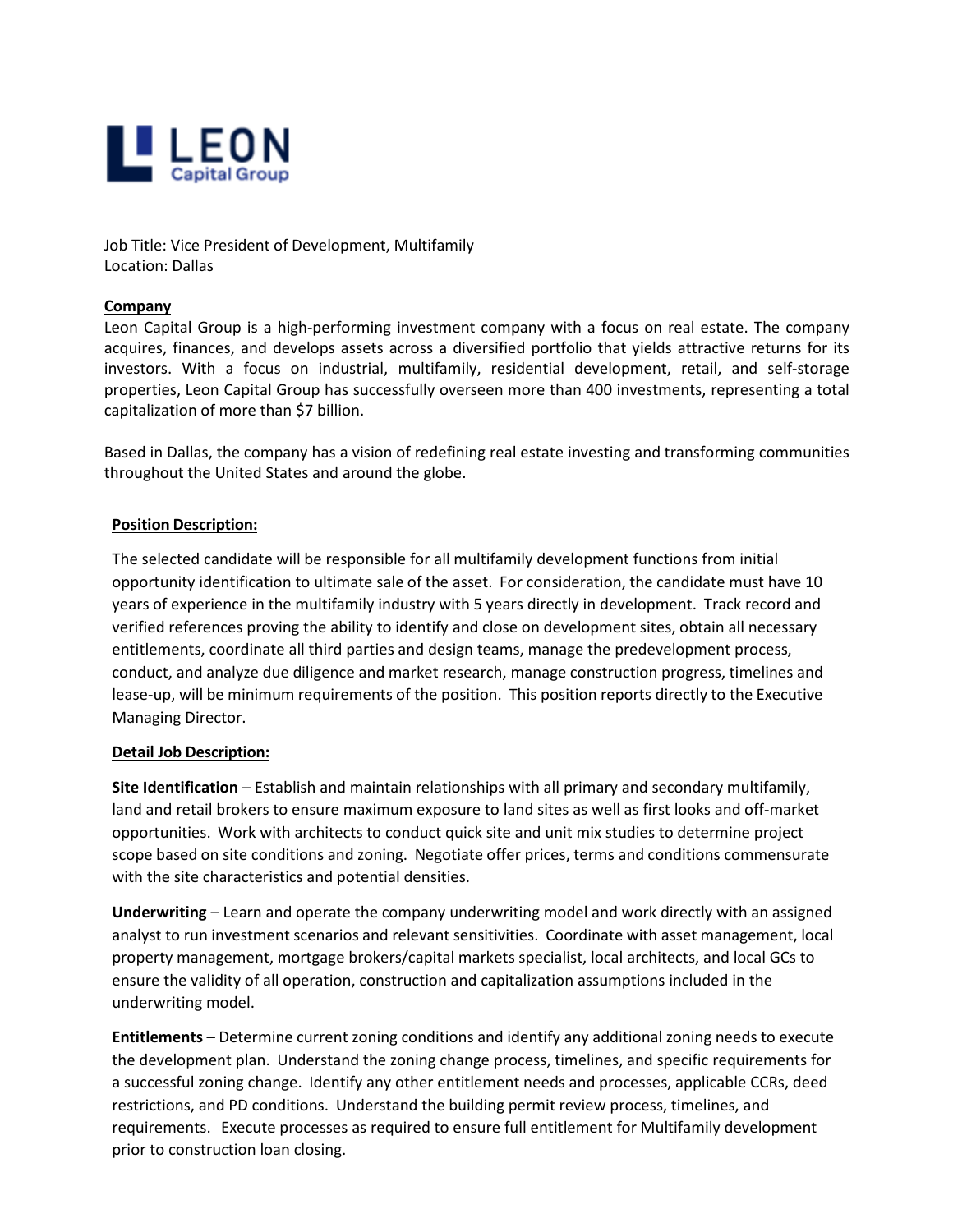

Job Title: Vice President of Development, Multifamily Location: Dallas

## **Company**

Leon Capital Group is a high-performing investment company with a focus on real estate. The company acquires, finances, and develops assets across a diversified portfolio that yields attractive returns for its investors. With a focus on industrial, multifamily, residential development, retail, and self-storage properties, Leon Capital Group has successfully overseen more than 400 investments, representing a total capitalization of more than \$7 billion.

Based in Dallas, the company has a vision of redefining real estate investing and transforming communities throughout the United States and around the globe.

## **Position Description:**

The selected candidate will be responsible for all multifamily development functions from initial opportunity identification to ultimate sale of the asset. For consideration, the candidate must have 10 years of experience in the multifamily industry with 5 years directly in development. Track record and verified references proving the ability to identify and close on development sites, obtain all necessary entitlements, coordinate all third parties and design teams, manage the predevelopment process, conduct, and analyze due diligence and market research, manage construction progress, timelines and lease-up, will be minimum requirements of the position. This position reports directly to the Executive Managing Director.

## **Detail Job Description:**

**Site Identification** – Establish and maintain relationships with all primary and secondary multifamily, land and retail brokers to ensure maximum exposure to land sites as well as first looks and off-market opportunities. Work with architects to conduct quick site and unit mix studies to determine project scope based on site conditions and zoning. Negotiate offer prices, terms and conditions commensurate with the site characteristics and potential densities.

**Underwriting** – Learn and operate the company underwriting model and work directly with an assigned analyst to run investment scenarios and relevant sensitivities. Coordinate with asset management, local property management, mortgage brokers/capital markets specialist, local architects, and local GCs to ensure the validity of all operation, construction and capitalization assumptions included in the underwriting model.

**Entitlements** – Determine current zoning conditions and identify any additional zoning needs to execute the development plan. Understand the zoning change process, timelines, and specific requirements for a successful zoning change. Identify any other entitlement needs and processes, applicable CCRs, deed restrictions, and PD conditions. Understand the building permit review process, timelines, and requirements. Execute processes as required to ensure full entitlement for Multifamily development prior to construction loan closing.